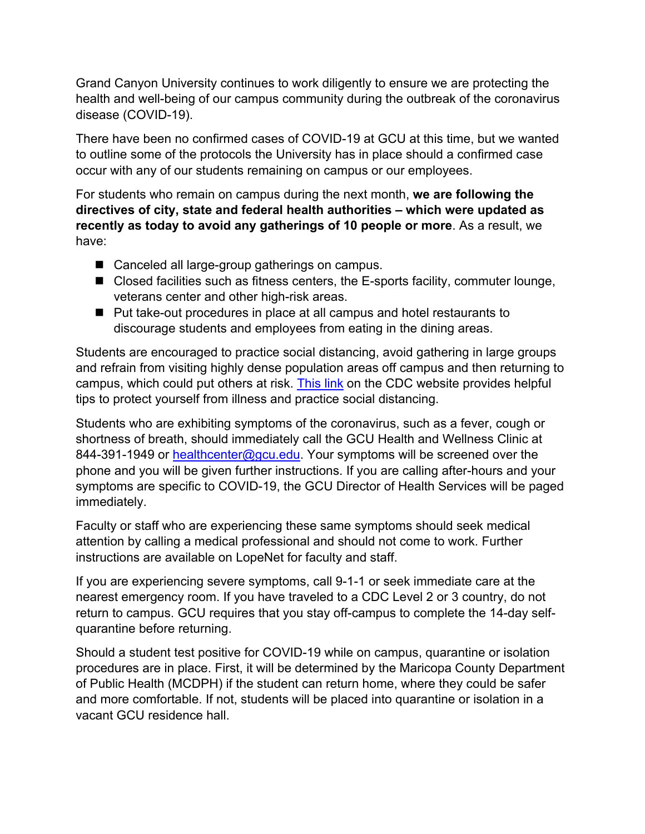Grand Canyon University continues to work diligently to ensure we are protecting the health and well-being of our campus community during the outbreak of the coronavirus disease (COVID-19).

There have been no confirmed cases of COVID-19 at GCU at this time, but we wanted to outline some of the protocols the University has in place should a confirmed case occur with any of our students remaining on campus or our employees.

For students who remain on campus during the next month, **we are following the directives of city, state and federal health authorities – which were updated as recently as today to avoid any gatherings of 10 people or more**. As a result, we have:

- Canceled all large-group gatherings on campus.
- $\blacksquare$  Closed facilities such as fitness centers, the E-sports facility, commuter lounge, veterans center and other high-risk areas.
- Put take-out procedures in place at all campus and hotel restaurants to discourage students and employees from eating in the dining areas.

Students are encouraged to practice social distancing, avoid gathering in large groups and refrain from visiting highly dense population areas off campus and then returning to campus, which could put others at risk. This link on the CDC website provides helpful tips to protect yourself from illness and practice social distancing.

Students who are exhibiting symptoms of the coronavirus, such as a fever, cough or shortness of breath, should immediately call the GCU Health and Wellness Clinic at 844-391-1949 or healthcenter@gcu.edu. Your symptoms will be screened over the phone and you will be given further instructions. If you are calling after-hours and your symptoms are specific to COVID-19, the GCU Director of Health Services will be paged immediately.

Faculty or staff who are experiencing these same symptoms should seek medical attention by calling a medical professional and should not come to work. Further instructions are available on LopeNet for faculty and staff.

If you are experiencing severe symptoms, call 9-1-1 or seek immediate care at the nearest emergency room. If you have traveled to a CDC Level 2 or 3 country, do not return to campus. GCU requires that you stay off-campus to complete the 14-day selfquarantine before returning.

Should a student test positive for COVID-19 while on campus, quarantine or isolation procedures are in place. First, it will be determined by the Maricopa County Department of Public Health (MCDPH) if the student can return home, where they could be safer and more comfortable. If not, students will be placed into quarantine or isolation in a vacant GCU residence hall.